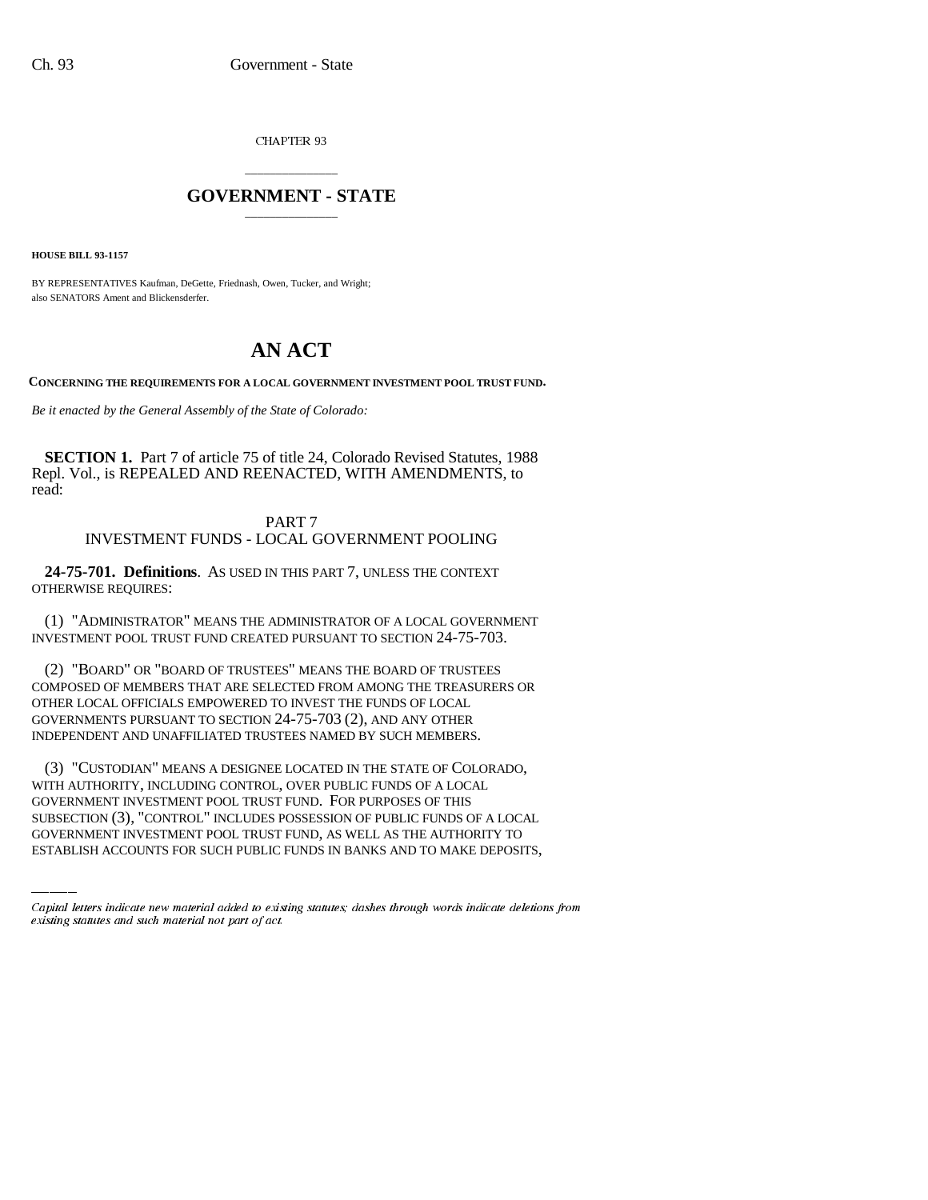CHAPTER 93

## \_\_\_\_\_\_\_\_\_\_\_\_\_\_\_ **GOVERNMENT - STATE** \_\_\_\_\_\_\_\_\_\_\_\_\_\_\_

**HOUSE BILL 93-1157**

BY REPRESENTATIVES Kaufman, DeGette, Friednash, Owen, Tucker, and Wright; also SENATORS Ament and Blickensderfer.

# **AN ACT**

**CONCERNING THE REQUIREMENTS FOR A LOCAL GOVERNMENT INVESTMENT POOL TRUST FUND.**

*Be it enacted by the General Assembly of the State of Colorado:*

**SECTION 1.** Part 7 of article 75 of title 24, Colorado Revised Statutes, 1988 Repl. Vol., is REPEALED AND REENACTED, WITH AMENDMENTS, to read:

## PART 7 INVESTMENT FUNDS - LOCAL GOVERNMENT POOLING

**24-75-701. Definitions**. AS USED IN THIS PART 7, UNLESS THE CONTEXT OTHERWISE REQUIRES:

(1) "ADMINISTRATOR" MEANS THE ADMINISTRATOR OF A LOCAL GOVERNMENT INVESTMENT POOL TRUST FUND CREATED PURSUANT TO SECTION 24-75-703.

(2) "BOARD" OR "BOARD OF TRUSTEES" MEANS THE BOARD OF TRUSTEES COMPOSED OF MEMBERS THAT ARE SELECTED FROM AMONG THE TREASURERS OR OTHER LOCAL OFFICIALS EMPOWERED TO INVEST THE FUNDS OF LOCAL GOVERNMENTS PURSUANT TO SECTION 24-75-703 (2), AND ANY OTHER INDEPENDENT AND UNAFFILIATED TRUSTEES NAMED BY SUCH MEMBERS.

WITH AUTHORITY, INCLUDING CONTROL, OVER PUBLIC FUNDS OF A LOCAL (3) "CUSTODIAN" MEANS A DESIGNEE LOCATED IN THE STATE OF COLORADO, GOVERNMENT INVESTMENT POOL TRUST FUND. FOR PURPOSES OF THIS SUBSECTION (3), "CONTROL" INCLUDES POSSESSION OF PUBLIC FUNDS OF A LOCAL GOVERNMENT INVESTMENT POOL TRUST FUND, AS WELL AS THE AUTHORITY TO ESTABLISH ACCOUNTS FOR SUCH PUBLIC FUNDS IN BANKS AND TO MAKE DEPOSITS,

Capital letters indicate new material added to existing statutes; dashes through words indicate deletions from existing statutes and such material not part of act.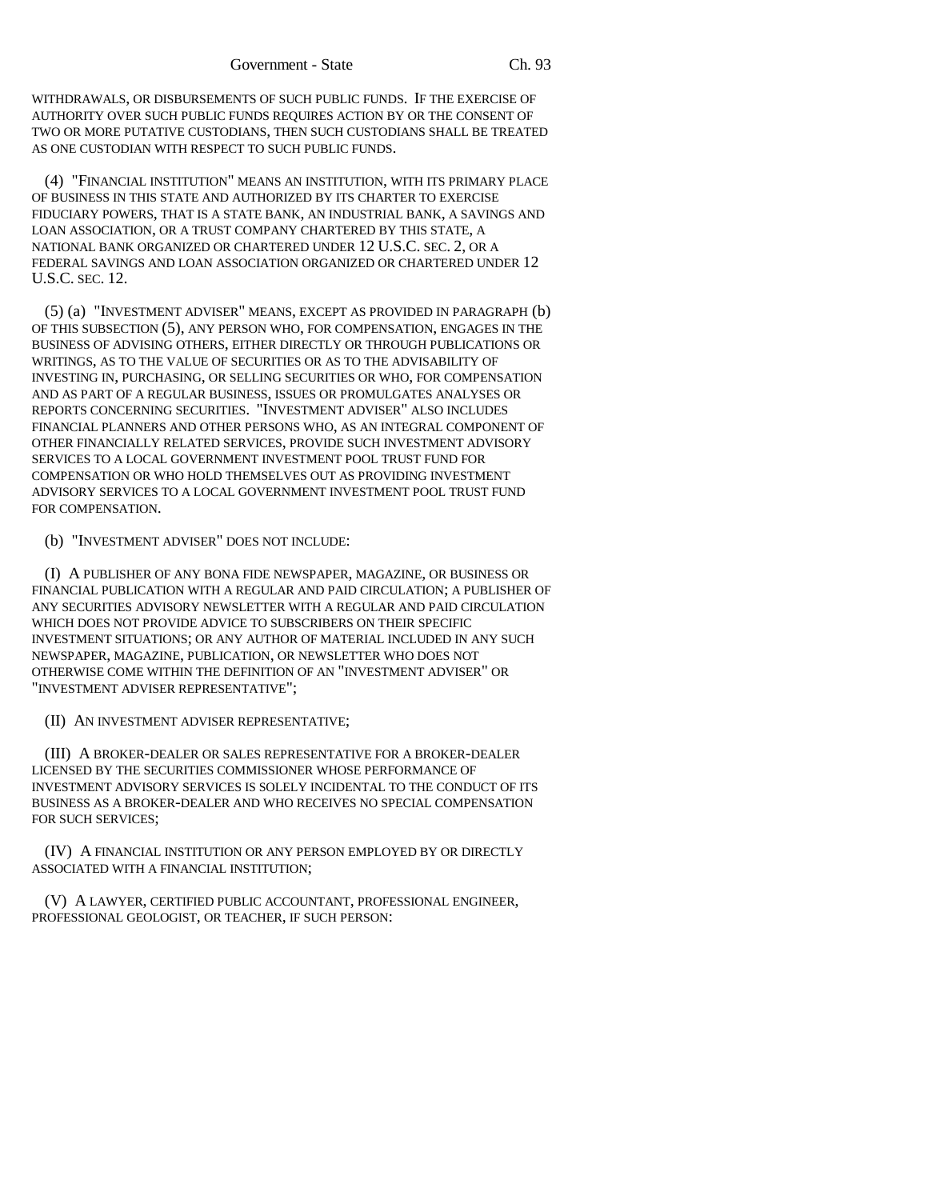WITHDRAWALS, OR DISBURSEMENTS OF SUCH PUBLIC FUNDS. IF THE EXERCISE OF AUTHORITY OVER SUCH PUBLIC FUNDS REQUIRES ACTION BY OR THE CONSENT OF TWO OR MORE PUTATIVE CUSTODIANS, THEN SUCH CUSTODIANS SHALL BE TREATED AS ONE CUSTODIAN WITH RESPECT TO SUCH PUBLIC FUNDS.

(4) "FINANCIAL INSTITUTION" MEANS AN INSTITUTION, WITH ITS PRIMARY PLACE OF BUSINESS IN THIS STATE AND AUTHORIZED BY ITS CHARTER TO EXERCISE FIDUCIARY POWERS, THAT IS A STATE BANK, AN INDUSTRIAL BANK, A SAVINGS AND LOAN ASSOCIATION, OR A TRUST COMPANY CHARTERED BY THIS STATE, A NATIONAL BANK ORGANIZED OR CHARTERED UNDER 12 U.S.C. SEC. 2, OR A FEDERAL SAVINGS AND LOAN ASSOCIATION ORGANIZED OR CHARTERED UNDER 12 U.S.C. SEC. 12.

(5) (a) "INVESTMENT ADVISER" MEANS, EXCEPT AS PROVIDED IN PARAGRAPH (b) OF THIS SUBSECTION (5), ANY PERSON WHO, FOR COMPENSATION, ENGAGES IN THE BUSINESS OF ADVISING OTHERS, EITHER DIRECTLY OR THROUGH PUBLICATIONS OR WRITINGS, AS TO THE VALUE OF SECURITIES OR AS TO THE ADVISABILITY OF INVESTING IN, PURCHASING, OR SELLING SECURITIES OR WHO, FOR COMPENSATION AND AS PART OF A REGULAR BUSINESS, ISSUES OR PROMULGATES ANALYSES OR REPORTS CONCERNING SECURITIES. "INVESTMENT ADVISER" ALSO INCLUDES FINANCIAL PLANNERS AND OTHER PERSONS WHO, AS AN INTEGRAL COMPONENT OF OTHER FINANCIALLY RELATED SERVICES, PROVIDE SUCH INVESTMENT ADVISORY SERVICES TO A LOCAL GOVERNMENT INVESTMENT POOL TRUST FUND FOR COMPENSATION OR WHO HOLD THEMSELVES OUT AS PROVIDING INVESTMENT ADVISORY SERVICES TO A LOCAL GOVERNMENT INVESTMENT POOL TRUST FUND FOR COMPENSATION.

(b) "INVESTMENT ADVISER" DOES NOT INCLUDE:

(I) A PUBLISHER OF ANY BONA FIDE NEWSPAPER, MAGAZINE, OR BUSINESS OR FINANCIAL PUBLICATION WITH A REGULAR AND PAID CIRCULATION; A PUBLISHER OF ANY SECURITIES ADVISORY NEWSLETTER WITH A REGULAR AND PAID CIRCULATION WHICH DOES NOT PROVIDE ADVICE TO SUBSCRIBERS ON THEIR SPECIFIC INVESTMENT SITUATIONS; OR ANY AUTHOR OF MATERIAL INCLUDED IN ANY SUCH NEWSPAPER, MAGAZINE, PUBLICATION, OR NEWSLETTER WHO DOES NOT OTHERWISE COME WITHIN THE DEFINITION OF AN "INVESTMENT ADVISER" OR "INVESTMENT ADVISER REPRESENTATIVE";

(II) AN INVESTMENT ADVISER REPRESENTATIVE;

(III) A BROKER-DEALER OR SALES REPRESENTATIVE FOR A BROKER-DEALER LICENSED BY THE SECURITIES COMMISSIONER WHOSE PERFORMANCE OF INVESTMENT ADVISORY SERVICES IS SOLELY INCIDENTAL TO THE CONDUCT OF ITS BUSINESS AS A BROKER-DEALER AND WHO RECEIVES NO SPECIAL COMPENSATION FOR SUCH SERVICES;

(IV) A FINANCIAL INSTITUTION OR ANY PERSON EMPLOYED BY OR DIRECTLY ASSOCIATED WITH A FINANCIAL INSTITUTION;

(V) A LAWYER, CERTIFIED PUBLIC ACCOUNTANT, PROFESSIONAL ENGINEER, PROFESSIONAL GEOLOGIST, OR TEACHER, IF SUCH PERSON: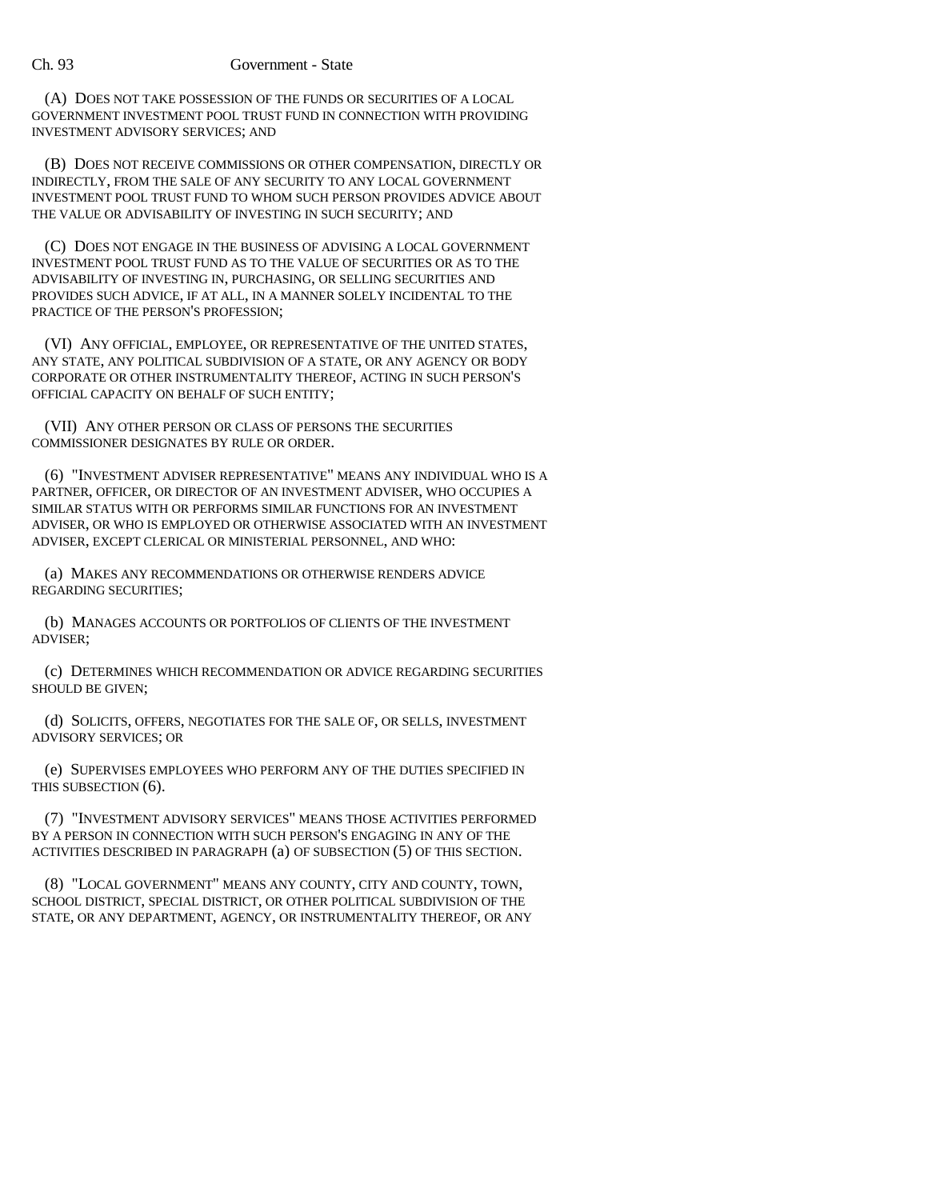(A) DOES NOT TAKE POSSESSION OF THE FUNDS OR SECURITIES OF A LOCAL GOVERNMENT INVESTMENT POOL TRUST FUND IN CONNECTION WITH PROVIDING INVESTMENT ADVISORY SERVICES; AND

(B) DOES NOT RECEIVE COMMISSIONS OR OTHER COMPENSATION, DIRECTLY OR INDIRECTLY, FROM THE SALE OF ANY SECURITY TO ANY LOCAL GOVERNMENT INVESTMENT POOL TRUST FUND TO WHOM SUCH PERSON PROVIDES ADVICE ABOUT THE VALUE OR ADVISABILITY OF INVESTING IN SUCH SECURITY; AND

(C) DOES NOT ENGAGE IN THE BUSINESS OF ADVISING A LOCAL GOVERNMENT INVESTMENT POOL TRUST FUND AS TO THE VALUE OF SECURITIES OR AS TO THE ADVISABILITY OF INVESTING IN, PURCHASING, OR SELLING SECURITIES AND PROVIDES SUCH ADVICE, IF AT ALL, IN A MANNER SOLELY INCIDENTAL TO THE PRACTICE OF THE PERSON'S PROFESSION;

(VI) ANY OFFICIAL, EMPLOYEE, OR REPRESENTATIVE OF THE UNITED STATES, ANY STATE, ANY POLITICAL SUBDIVISION OF A STATE, OR ANY AGENCY OR BODY CORPORATE OR OTHER INSTRUMENTALITY THEREOF, ACTING IN SUCH PERSON'S OFFICIAL CAPACITY ON BEHALF OF SUCH ENTITY;

(VII) ANY OTHER PERSON OR CLASS OF PERSONS THE SECURITIES COMMISSIONER DESIGNATES BY RULE OR ORDER.

(6) "INVESTMENT ADVISER REPRESENTATIVE" MEANS ANY INDIVIDUAL WHO IS A PARTNER, OFFICER, OR DIRECTOR OF AN INVESTMENT ADVISER, WHO OCCUPIES A SIMILAR STATUS WITH OR PERFORMS SIMILAR FUNCTIONS FOR AN INVESTMENT ADVISER, OR WHO IS EMPLOYED OR OTHERWISE ASSOCIATED WITH AN INVESTMENT ADVISER, EXCEPT CLERICAL OR MINISTERIAL PERSONNEL, AND WHO:

(a) MAKES ANY RECOMMENDATIONS OR OTHERWISE RENDERS ADVICE REGARDING SECURITIES;

(b) MANAGES ACCOUNTS OR PORTFOLIOS OF CLIENTS OF THE INVESTMENT ADVISER;

(c) DETERMINES WHICH RECOMMENDATION OR ADVICE REGARDING SECURITIES SHOULD BE GIVEN;

(d) SOLICITS, OFFERS, NEGOTIATES FOR THE SALE OF, OR SELLS, INVESTMENT ADVISORY SERVICES; OR

(e) SUPERVISES EMPLOYEES WHO PERFORM ANY OF THE DUTIES SPECIFIED IN THIS SUBSECTION (6).

(7) "INVESTMENT ADVISORY SERVICES" MEANS THOSE ACTIVITIES PERFORMED BY A PERSON IN CONNECTION WITH SUCH PERSON'S ENGAGING IN ANY OF THE ACTIVITIES DESCRIBED IN PARAGRAPH (a) OF SUBSECTION (5) OF THIS SECTION.

(8) "LOCAL GOVERNMENT" MEANS ANY COUNTY, CITY AND COUNTY, TOWN, SCHOOL DISTRICT, SPECIAL DISTRICT, OR OTHER POLITICAL SUBDIVISION OF THE STATE, OR ANY DEPARTMENT, AGENCY, OR INSTRUMENTALITY THEREOF, OR ANY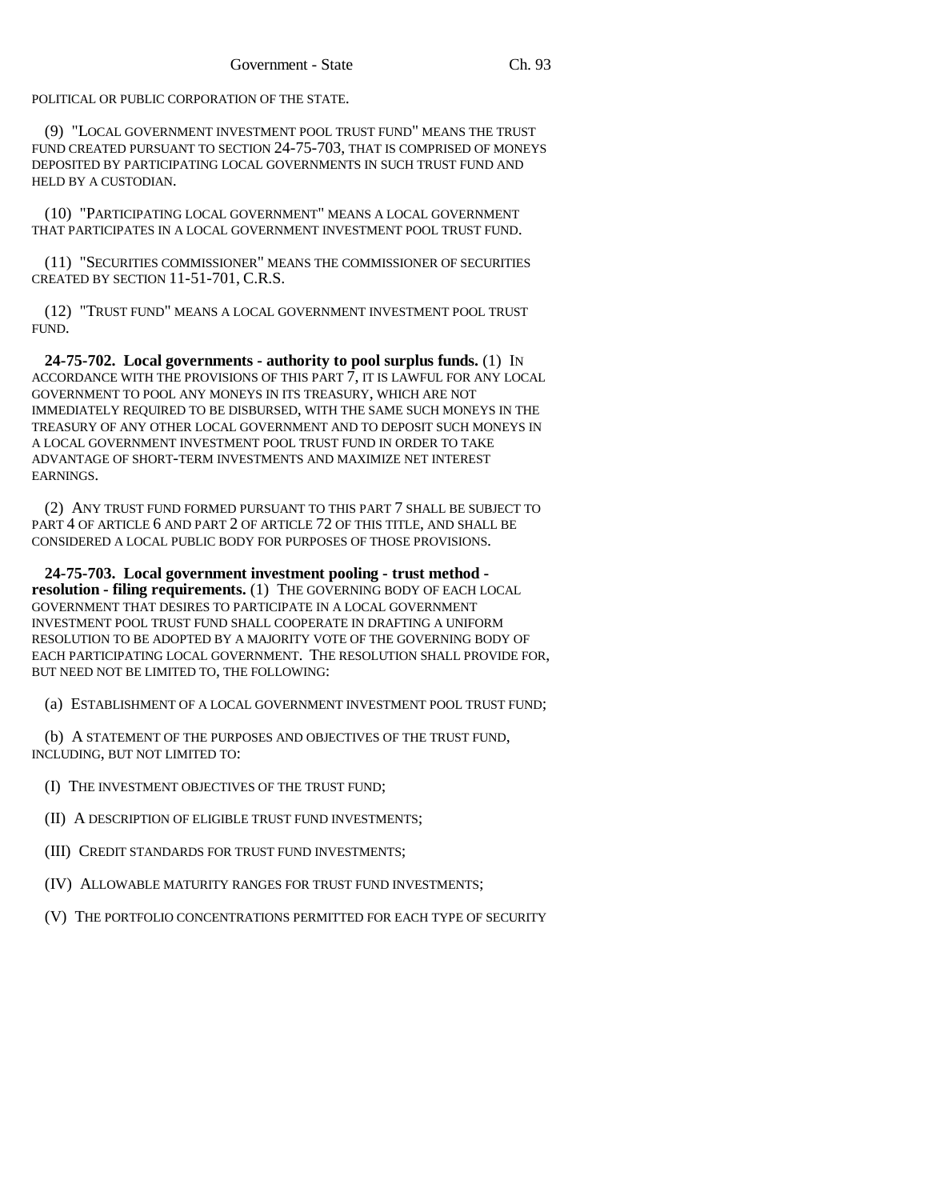POLITICAL OR PUBLIC CORPORATION OF THE STATE.

(9) "LOCAL GOVERNMENT INVESTMENT POOL TRUST FUND" MEANS THE TRUST FUND CREATED PURSUANT TO SECTION 24-75-703, THAT IS COMPRISED OF MONEYS DEPOSITED BY PARTICIPATING LOCAL GOVERNMENTS IN SUCH TRUST FUND AND HELD BY A CUSTODIAN.

(10) "PARTICIPATING LOCAL GOVERNMENT" MEANS A LOCAL GOVERNMENT THAT PARTICIPATES IN A LOCAL GOVERNMENT INVESTMENT POOL TRUST FUND.

(11) "SECURITIES COMMISSIONER" MEANS THE COMMISSIONER OF SECURITIES CREATED BY SECTION 11-51-701, C.R.S.

(12) "TRUST FUND" MEANS A LOCAL GOVERNMENT INVESTMENT POOL TRUST FUND.

**24-75-702. Local governments - authority to pool surplus funds.** (1) IN ACCORDANCE WITH THE PROVISIONS OF THIS PART 7, IT IS LAWFUL FOR ANY LOCAL GOVERNMENT TO POOL ANY MONEYS IN ITS TREASURY, WHICH ARE NOT IMMEDIATELY REQUIRED TO BE DISBURSED, WITH THE SAME SUCH MONEYS IN THE TREASURY OF ANY OTHER LOCAL GOVERNMENT AND TO DEPOSIT SUCH MONEYS IN A LOCAL GOVERNMENT INVESTMENT POOL TRUST FUND IN ORDER TO TAKE ADVANTAGE OF SHORT-TERM INVESTMENTS AND MAXIMIZE NET INTEREST EARNINGS.

(2) ANY TRUST FUND FORMED PURSUANT TO THIS PART 7 SHALL BE SUBJECT TO PART 4 OF ARTICLE 6 AND PART 2 OF ARTICLE 72 OF THIS TITLE, AND SHALL BE CONSIDERED A LOCAL PUBLIC BODY FOR PURPOSES OF THOSE PROVISIONS.

**24-75-703. Local government investment pooling - trust method resolution - filing requirements.** (1) THE GOVERNING BODY OF EACH LOCAL GOVERNMENT THAT DESIRES TO PARTICIPATE IN A LOCAL GOVERNMENT INVESTMENT POOL TRUST FUND SHALL COOPERATE IN DRAFTING A UNIFORM RESOLUTION TO BE ADOPTED BY A MAJORITY VOTE OF THE GOVERNING BODY OF EACH PARTICIPATING LOCAL GOVERNMENT. THE RESOLUTION SHALL PROVIDE FOR, BUT NEED NOT BE LIMITED TO, THE FOLLOWING:

(a) ESTABLISHMENT OF A LOCAL GOVERNMENT INVESTMENT POOL TRUST FUND;

(b) A STATEMENT OF THE PURPOSES AND OBJECTIVES OF THE TRUST FUND, INCLUDING, BUT NOT LIMITED TO:

- (I) THE INVESTMENT OBJECTIVES OF THE TRUST FUND;
- (II) A DESCRIPTION OF ELIGIBLE TRUST FUND INVESTMENTS;
- (III) CREDIT STANDARDS FOR TRUST FUND INVESTMENTS;
- (IV) ALLOWABLE MATURITY RANGES FOR TRUST FUND INVESTMENTS;
- (V) THE PORTFOLIO CONCENTRATIONS PERMITTED FOR EACH TYPE OF SECURITY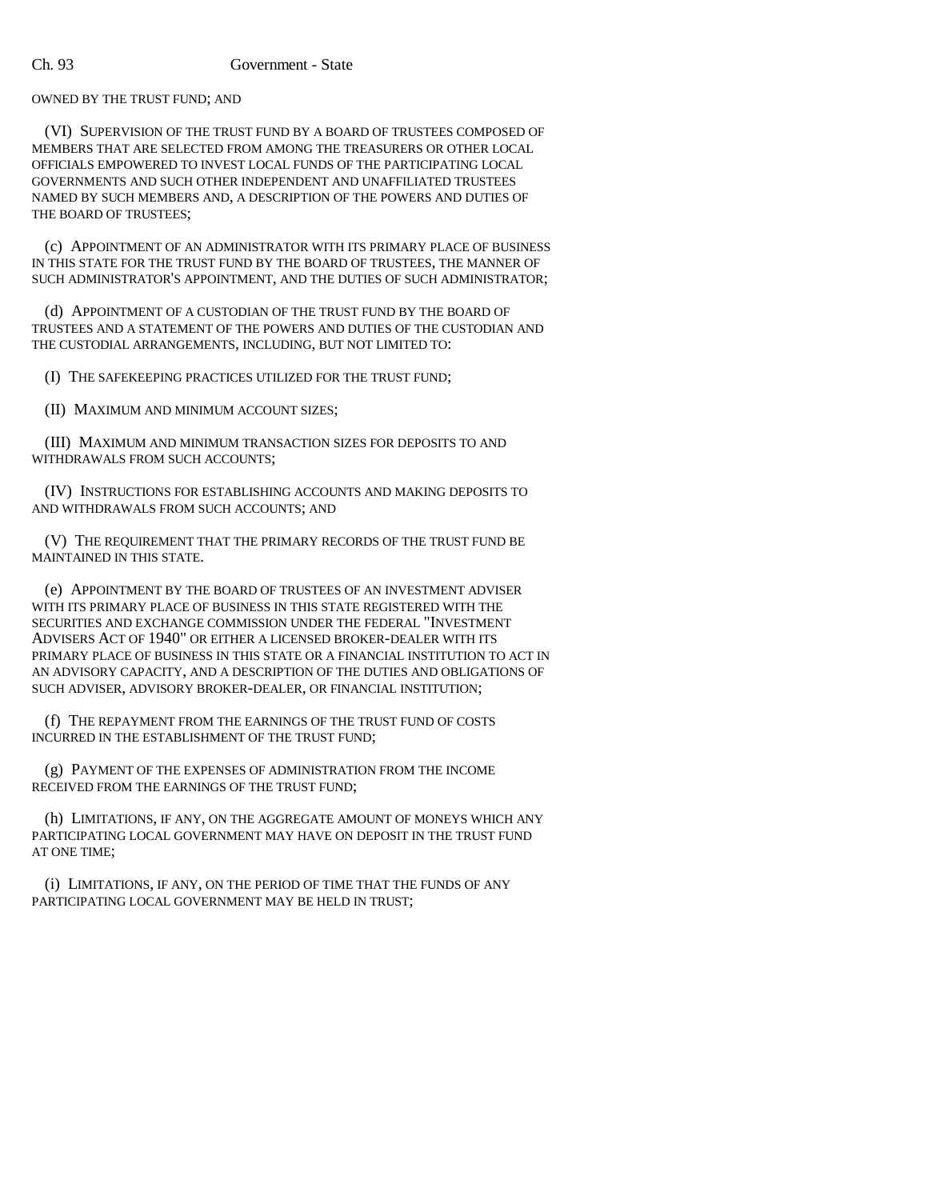OWNED BY THE TRUST FUND; AND

(VI) SUPERVISION OF THE TRUST FUND BY A BOARD OF TRUSTEES COMPOSED OF MEMBERS THAT ARE SELECTED FROM AMONG THE TREASURERS OR OTHER LOCAL OFFICIALS EMPOWERED TO INVEST LOCAL FUNDS OF THE PARTICIPATING LOCAL GOVERNMENTS AND SUCH OTHER INDEPENDENT AND UNAFFILIATED TRUSTEES NAMED BY SUCH MEMBERS AND, A DESCRIPTION OF THE POWERS AND DUTIES OF THE BOARD OF TRUSTEES;

(c) APPOINTMENT OF AN ADMINISTRATOR WITH ITS PRIMARY PLACE OF BUSINESS IN THIS STATE FOR THE TRUST FUND BY THE BOARD OF TRUSTEES, THE MANNER OF SUCH ADMINISTRATOR'S APPOINTMENT, AND THE DUTIES OF SUCH ADMINISTRATOR;

(d) APPOINTMENT OF A CUSTODIAN OF THE TRUST FUND BY THE BOARD OF TRUSTEES AND A STATEMENT OF THE POWERS AND DUTIES OF THE CUSTODIAN AND THE CUSTODIAL ARRANGEMENTS, INCLUDING, BUT NOT LIMITED TO:

(I) THE SAFEKEEPING PRACTICES UTILIZED FOR THE TRUST FUND;

(II) MAXIMUM AND MINIMUM ACCOUNT SIZES;

(III) MAXIMUM AND MINIMUM TRANSACTION SIZES FOR DEPOSITS TO AND WITHDRAWALS FROM SUCH ACCOUNTS;

(IV) INSTRUCTIONS FOR ESTABLISHING ACCOUNTS AND MAKING DEPOSITS TO AND WITHDRAWALS FROM SUCH ACCOUNTS; AND

(V) THE REQUIREMENT THAT THE PRIMARY RECORDS OF THE TRUST FUND BE MAINTAINED IN THIS STATE.

(e) APPOINTMENT BY THE BOARD OF TRUSTEES OF AN INVESTMENT ADVISER WITH ITS PRIMARY PLACE OF BUSINESS IN THIS STATE REGISTERED WITH THE SECURITIES AND EXCHANGE COMMISSION UNDER THE FEDERAL "INVESTMENT ADVISERS ACT OF 1940" OR EITHER A LICENSED BROKER-DEALER WITH ITS PRIMARY PLACE OF BUSINESS IN THIS STATE OR A FINANCIAL INSTITUTION TO ACT IN AN ADVISORY CAPACITY, AND A DESCRIPTION OF THE DUTIES AND OBLIGATIONS OF SUCH ADVISER, ADVISORY BROKER-DEALER, OR FINANCIAL INSTITUTION;

(f) THE REPAYMENT FROM THE EARNINGS OF THE TRUST FUND OF COSTS INCURRED IN THE ESTABLISHMENT OF THE TRUST FUND;

(g) PAYMENT OF THE EXPENSES OF ADMINISTRATION FROM THE INCOME RECEIVED FROM THE EARNINGS OF THE TRUST FUND;

(h) LIMITATIONS, IF ANY, ON THE AGGREGATE AMOUNT OF MONEYS WHICH ANY PARTICIPATING LOCAL GOVERNMENT MAY HAVE ON DEPOSIT IN THE TRUST FUND AT ONE TIME;

(i) LIMITATIONS, IF ANY, ON THE PERIOD OF TIME THAT THE FUNDS OF ANY PARTICIPATING LOCAL GOVERNMENT MAY BE HELD IN TRUST;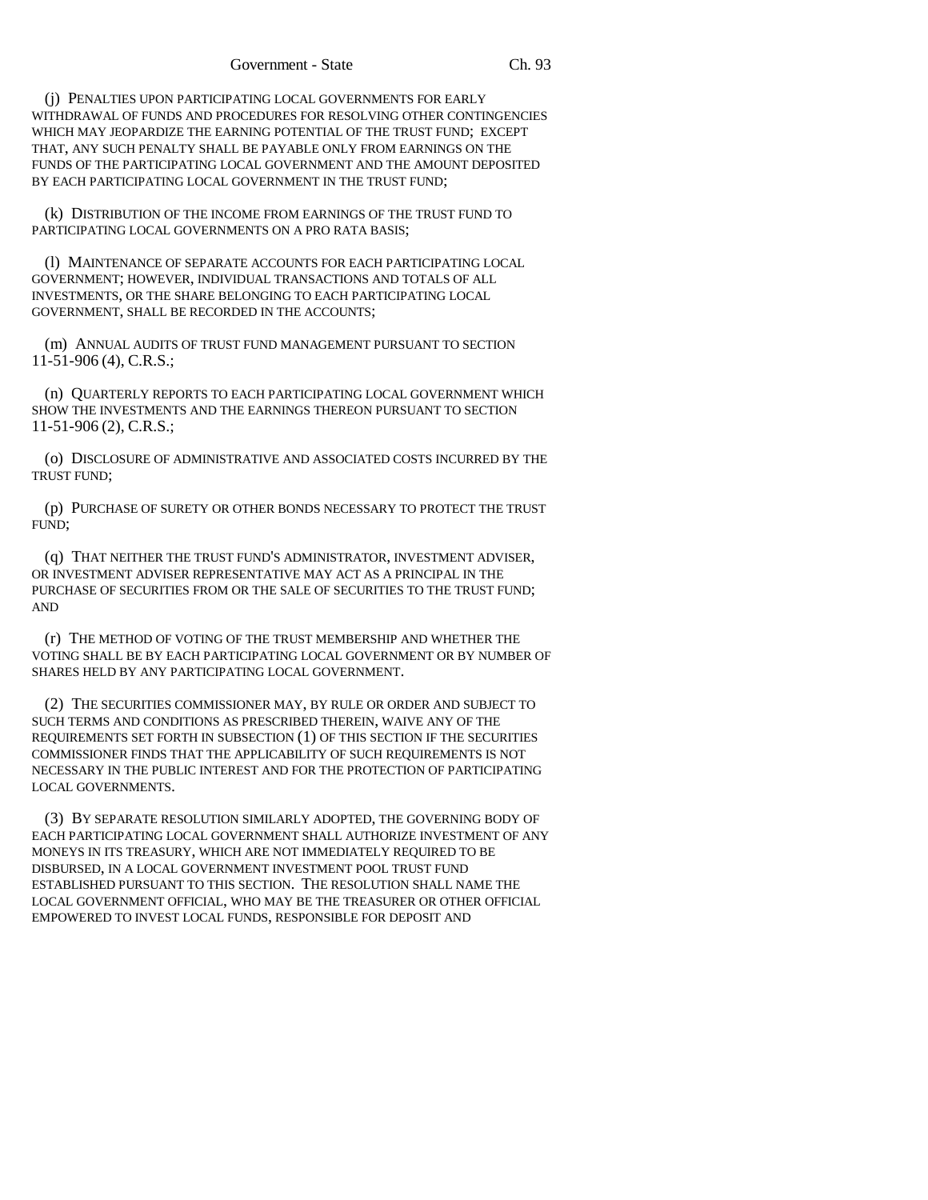(j) PENALTIES UPON PARTICIPATING LOCAL GOVERNMENTS FOR EARLY WITHDRAWAL OF FUNDS AND PROCEDURES FOR RESOLVING OTHER CONTINGENCIES WHICH MAY JEOPARDIZE THE EARNING POTENTIAL OF THE TRUST FUND; EXCEPT THAT, ANY SUCH PENALTY SHALL BE PAYABLE ONLY FROM EARNINGS ON THE FUNDS OF THE PARTICIPATING LOCAL GOVERNMENT AND THE AMOUNT DEPOSITED BY EACH PARTICIPATING LOCAL GOVERNMENT IN THE TRUST FUND;

(k) DISTRIBUTION OF THE INCOME FROM EARNINGS OF THE TRUST FUND TO PARTICIPATING LOCAL GOVERNMENTS ON A PRO RATA BASIS;

(l) MAINTENANCE OF SEPARATE ACCOUNTS FOR EACH PARTICIPATING LOCAL GOVERNMENT; HOWEVER, INDIVIDUAL TRANSACTIONS AND TOTALS OF ALL INVESTMENTS, OR THE SHARE BELONGING TO EACH PARTICIPATING LOCAL GOVERNMENT, SHALL BE RECORDED IN THE ACCOUNTS;

(m) ANNUAL AUDITS OF TRUST FUND MANAGEMENT PURSUANT TO SECTION 11-51-906 (4), C.R.S.;

(n) QUARTERLY REPORTS TO EACH PARTICIPATING LOCAL GOVERNMENT WHICH SHOW THE INVESTMENTS AND THE EARNINGS THEREON PURSUANT TO SECTION 11-51-906 (2), C.R.S.;

(o) DISCLOSURE OF ADMINISTRATIVE AND ASSOCIATED COSTS INCURRED BY THE TRUST FUND;

(p) PURCHASE OF SURETY OR OTHER BONDS NECESSARY TO PROTECT THE TRUST FUND;

(q) THAT NEITHER THE TRUST FUND'S ADMINISTRATOR, INVESTMENT ADVISER, OR INVESTMENT ADVISER REPRESENTATIVE MAY ACT AS A PRINCIPAL IN THE PURCHASE OF SECURITIES FROM OR THE SALE OF SECURITIES TO THE TRUST FUND; AND

(r) THE METHOD OF VOTING OF THE TRUST MEMBERSHIP AND WHETHER THE VOTING SHALL BE BY EACH PARTICIPATING LOCAL GOVERNMENT OR BY NUMBER OF SHARES HELD BY ANY PARTICIPATING LOCAL GOVERNMENT.

(2) THE SECURITIES COMMISSIONER MAY, BY RULE OR ORDER AND SUBJECT TO SUCH TERMS AND CONDITIONS AS PRESCRIBED THEREIN, WAIVE ANY OF THE REQUIREMENTS SET FORTH IN SUBSECTION (1) OF THIS SECTION IF THE SECURITIES COMMISSIONER FINDS THAT THE APPLICABILITY OF SUCH REQUIREMENTS IS NOT NECESSARY IN THE PUBLIC INTEREST AND FOR THE PROTECTION OF PARTICIPATING LOCAL GOVERNMENTS.

(3) BY SEPARATE RESOLUTION SIMILARLY ADOPTED, THE GOVERNING BODY OF EACH PARTICIPATING LOCAL GOVERNMENT SHALL AUTHORIZE INVESTMENT OF ANY MONEYS IN ITS TREASURY, WHICH ARE NOT IMMEDIATELY REQUIRED TO BE DISBURSED, IN A LOCAL GOVERNMENT INVESTMENT POOL TRUST FUND ESTABLISHED PURSUANT TO THIS SECTION. THE RESOLUTION SHALL NAME THE LOCAL GOVERNMENT OFFICIAL, WHO MAY BE THE TREASURER OR OTHER OFFICIAL EMPOWERED TO INVEST LOCAL FUNDS, RESPONSIBLE FOR DEPOSIT AND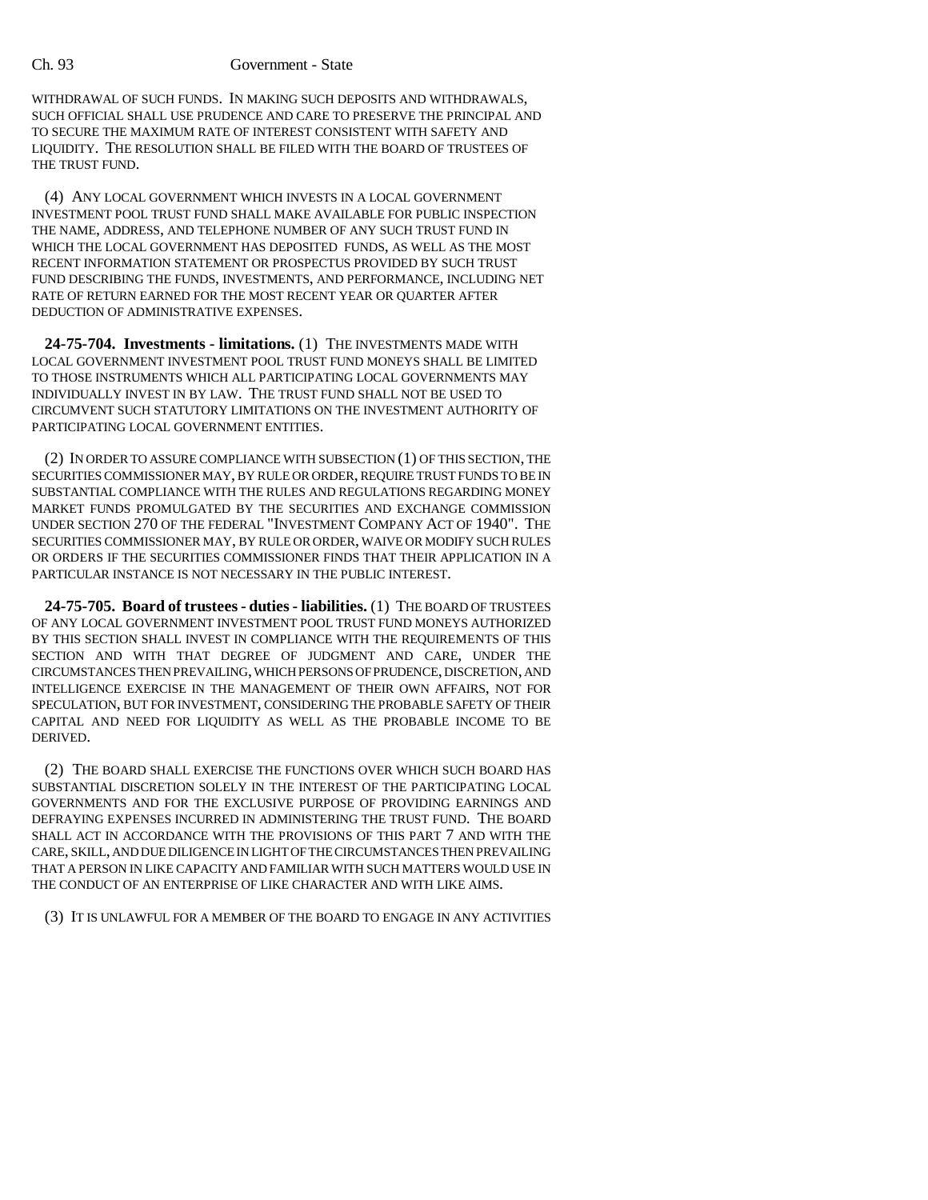WITHDRAWAL OF SUCH FUNDS. IN MAKING SUCH DEPOSITS AND WITHDRAWALS, SUCH OFFICIAL SHALL USE PRUDENCE AND CARE TO PRESERVE THE PRINCIPAL AND TO SECURE THE MAXIMUM RATE OF INTEREST CONSISTENT WITH SAFETY AND LIQUIDITY. THE RESOLUTION SHALL BE FILED WITH THE BOARD OF TRUSTEES OF THE TRUST FUND.

(4) ANY LOCAL GOVERNMENT WHICH INVESTS IN A LOCAL GOVERNMENT INVESTMENT POOL TRUST FUND SHALL MAKE AVAILABLE FOR PUBLIC INSPECTION THE NAME, ADDRESS, AND TELEPHONE NUMBER OF ANY SUCH TRUST FUND IN WHICH THE LOCAL GOVERNMENT HAS DEPOSITED FUNDS, AS WELL AS THE MOST RECENT INFORMATION STATEMENT OR PROSPECTUS PROVIDED BY SUCH TRUST FUND DESCRIBING THE FUNDS, INVESTMENTS, AND PERFORMANCE, INCLUDING NET RATE OF RETURN EARNED FOR THE MOST RECENT YEAR OR QUARTER AFTER DEDUCTION OF ADMINISTRATIVE EXPENSES.

**24-75-704. Investments - limitations.** (1) THE INVESTMENTS MADE WITH LOCAL GOVERNMENT INVESTMENT POOL TRUST FUND MONEYS SHALL BE LIMITED TO THOSE INSTRUMENTS WHICH ALL PARTICIPATING LOCAL GOVERNMENTS MAY INDIVIDUALLY INVEST IN BY LAW. THE TRUST FUND SHALL NOT BE USED TO CIRCUMVENT SUCH STATUTORY LIMITATIONS ON THE INVESTMENT AUTHORITY OF PARTICIPATING LOCAL GOVERNMENT ENTITIES.

(2) IN ORDER TO ASSURE COMPLIANCE WITH SUBSECTION (1) OF THIS SECTION, THE SECURITIES COMMISSIONER MAY, BY RULE OR ORDER, REQUIRE TRUST FUNDS TO BE IN SUBSTANTIAL COMPLIANCE WITH THE RULES AND REGULATIONS REGARDING MONEY MARKET FUNDS PROMULGATED BY THE SECURITIES AND EXCHANGE COMMISSION UNDER SECTION 270 OF THE FEDERAL "INVESTMENT COMPANY ACT OF 1940". THE SECURITIES COMMISSIONER MAY, BY RULE OR ORDER, WAIVE OR MODIFY SUCH RULES OR ORDERS IF THE SECURITIES COMMISSIONER FINDS THAT THEIR APPLICATION IN A PARTICULAR INSTANCE IS NOT NECESSARY IN THE PUBLIC INTEREST.

**24-75-705. Board of trustees - duties - liabilities.** (1) THE BOARD OF TRUSTEES OF ANY LOCAL GOVERNMENT INVESTMENT POOL TRUST FUND MONEYS AUTHORIZED BY THIS SECTION SHALL INVEST IN COMPLIANCE WITH THE REQUIREMENTS OF THIS SECTION AND WITH THAT DEGREE OF JUDGMENT AND CARE, UNDER THE CIRCUMSTANCES THEN PREVAILING, WHICH PERSONS OF PRUDENCE, DISCRETION, AND INTELLIGENCE EXERCISE IN THE MANAGEMENT OF THEIR OWN AFFAIRS, NOT FOR SPECULATION, BUT FOR INVESTMENT, CONSIDERING THE PROBABLE SAFETY OF THEIR CAPITAL AND NEED FOR LIQUIDITY AS WELL AS THE PROBABLE INCOME TO BE DERIVED.

(2) THE BOARD SHALL EXERCISE THE FUNCTIONS OVER WHICH SUCH BOARD HAS SUBSTANTIAL DISCRETION SOLELY IN THE INTEREST OF THE PARTICIPATING LOCAL GOVERNMENTS AND FOR THE EXCLUSIVE PURPOSE OF PROVIDING EARNINGS AND DEFRAYING EXPENSES INCURRED IN ADMINISTERING THE TRUST FUND. THE BOARD SHALL ACT IN ACCORDANCE WITH THE PROVISIONS OF THIS PART 7 AND WITH THE CARE, SKILL, AND DUE DILIGENCE IN LIGHT OF THE CIRCUMSTANCES THEN PREVAILING THAT A PERSON IN LIKE CAPACITY AND FAMILIAR WITH SUCH MATTERS WOULD USE IN THE CONDUCT OF AN ENTERPRISE OF LIKE CHARACTER AND WITH LIKE AIMS.

(3) IT IS UNLAWFUL FOR A MEMBER OF THE BOARD TO ENGAGE IN ANY ACTIVITIES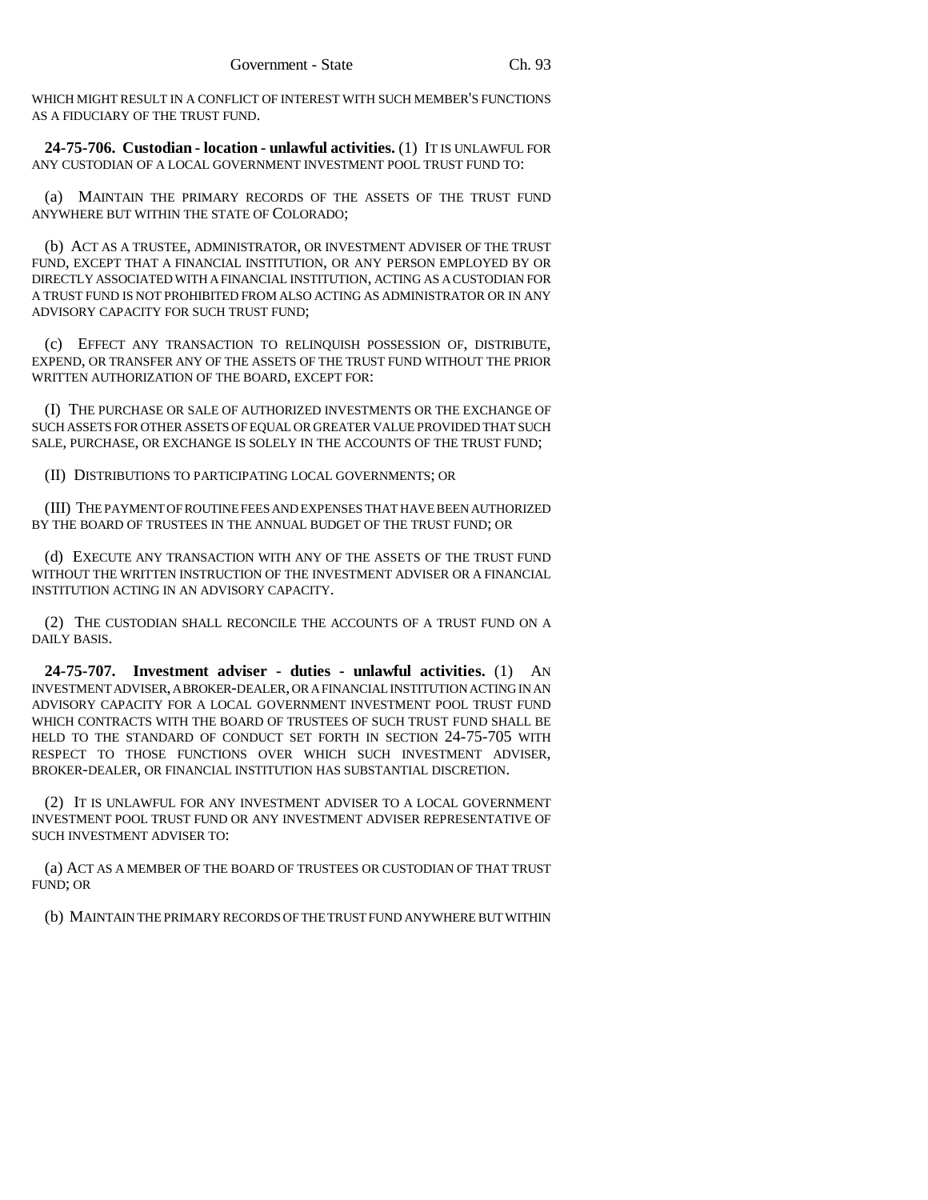WHICH MIGHT RESULT IN A CONFLICT OF INTEREST WITH SUCH MEMBER'S FUNCTIONS AS A FIDUCIARY OF THE TRUST FUND.

**24-75-706. Custodian - location - unlawful activities.** (1) IT IS UNLAWFUL FOR ANY CUSTODIAN OF A LOCAL GOVERNMENT INVESTMENT POOL TRUST FUND TO:

(a) MAINTAIN THE PRIMARY RECORDS OF THE ASSETS OF THE TRUST FUND ANYWHERE BUT WITHIN THE STATE OF COLORADO;

(b) ACT AS A TRUSTEE, ADMINISTRATOR, OR INVESTMENT ADVISER OF THE TRUST FUND, EXCEPT THAT A FINANCIAL INSTITUTION, OR ANY PERSON EMPLOYED BY OR DIRECTLY ASSOCIATED WITH A FINANCIAL INSTITUTION, ACTING AS A CUSTODIAN FOR A TRUST FUND IS NOT PROHIBITED FROM ALSO ACTING AS ADMINISTRATOR OR IN ANY ADVISORY CAPACITY FOR SUCH TRUST FUND;

(c) EFFECT ANY TRANSACTION TO RELINQUISH POSSESSION OF, DISTRIBUTE, EXPEND, OR TRANSFER ANY OF THE ASSETS OF THE TRUST FUND WITHOUT THE PRIOR WRITTEN AUTHORIZATION OF THE BOARD, EXCEPT FOR:

(I) THE PURCHASE OR SALE OF AUTHORIZED INVESTMENTS OR THE EXCHANGE OF SUCH ASSETS FOR OTHER ASSETS OF EQUAL OR GREATER VALUE PROVIDED THAT SUCH SALE, PURCHASE, OR EXCHANGE IS SOLELY IN THE ACCOUNTS OF THE TRUST FUND;

(II) DISTRIBUTIONS TO PARTICIPATING LOCAL GOVERNMENTS; OR

(III) THE PAYMENT OF ROUTINE FEES AND EXPENSES THAT HAVE BEEN AUTHORIZED BY THE BOARD OF TRUSTEES IN THE ANNUAL BUDGET OF THE TRUST FUND; OR

(d) EXECUTE ANY TRANSACTION WITH ANY OF THE ASSETS OF THE TRUST FUND WITHOUT THE WRITTEN INSTRUCTION OF THE INVESTMENT ADVISER OR A FINANCIAL INSTITUTION ACTING IN AN ADVISORY CAPACITY.

(2) THE CUSTODIAN SHALL RECONCILE THE ACCOUNTS OF A TRUST FUND ON A DAILY BASIS.

**24-75-707. Investment adviser - duties - unlawful activities.** (1) AN INVESTMENT ADVISER, A BROKER-DEALER, OR A FINANCIAL INSTITUTION ACTING IN AN ADVISORY CAPACITY FOR A LOCAL GOVERNMENT INVESTMENT POOL TRUST FUND WHICH CONTRACTS WITH THE BOARD OF TRUSTEES OF SUCH TRUST FUND SHALL BE HELD TO THE STANDARD OF CONDUCT SET FORTH IN SECTION 24-75-705 WITH RESPECT TO THOSE FUNCTIONS OVER WHICH SUCH INVESTMENT ADVISER, BROKER-DEALER, OR FINANCIAL INSTITUTION HAS SUBSTANTIAL DISCRETION.

(2) IT IS UNLAWFUL FOR ANY INVESTMENT ADVISER TO A LOCAL GOVERNMENT INVESTMENT POOL TRUST FUND OR ANY INVESTMENT ADVISER REPRESENTATIVE OF SUCH INVESTMENT ADVISER TO:

(a) ACT AS A MEMBER OF THE BOARD OF TRUSTEES OR CUSTODIAN OF THAT TRUST FUND; OR

(b) MAINTAIN THE PRIMARY RECORDS OF THE TRUST FUND ANYWHERE BUT WITHIN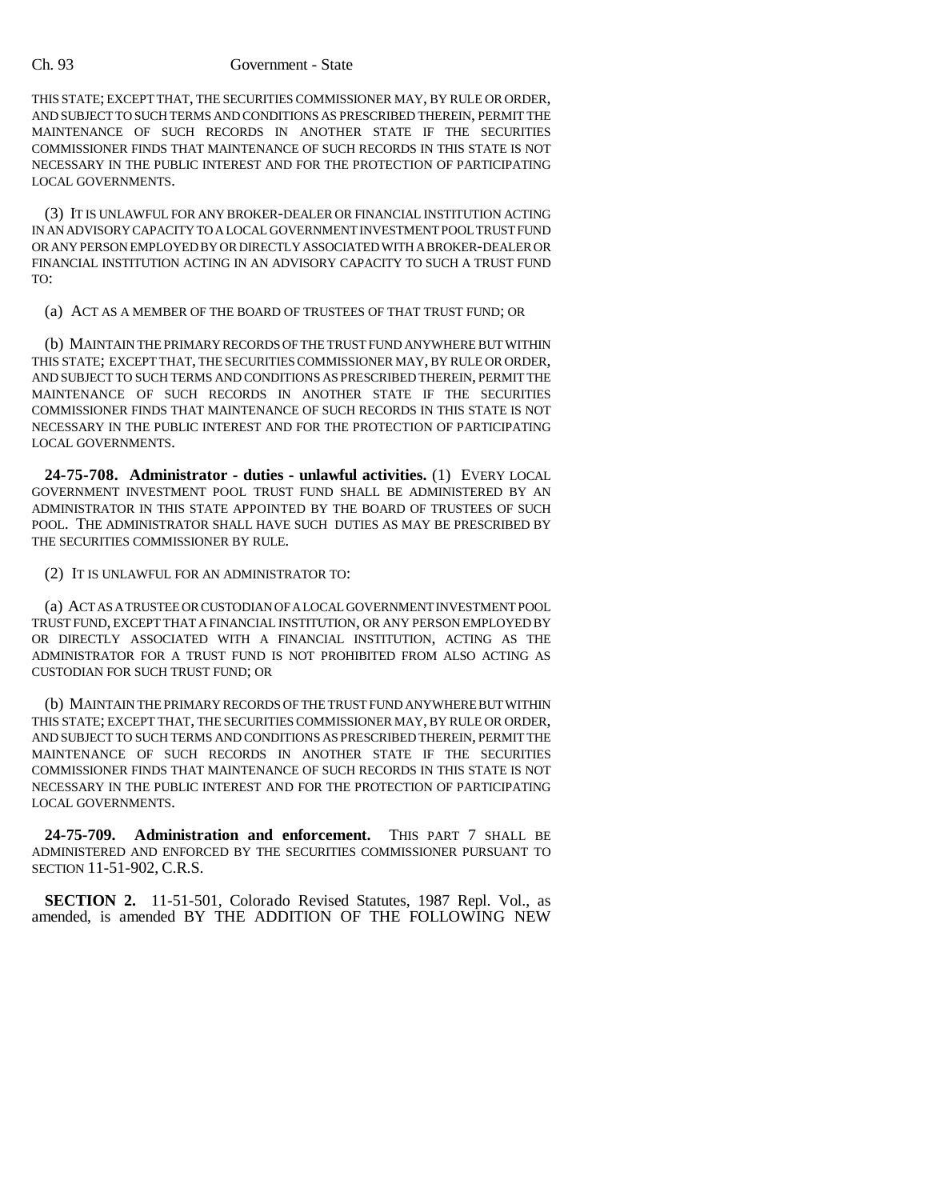THIS STATE; EXCEPT THAT, THE SECURITIES COMMISSIONER MAY, BY RULE OR ORDER, AND SUBJECT TO SUCH TERMS AND CONDITIONS AS PRESCRIBED THEREIN, PERMIT THE MAINTENANCE OF SUCH RECORDS IN ANOTHER STATE IF THE SECURITIES COMMISSIONER FINDS THAT MAINTENANCE OF SUCH RECORDS IN THIS STATE IS NOT NECESSARY IN THE PUBLIC INTEREST AND FOR THE PROTECTION OF PARTICIPATING LOCAL GOVERNMENTS.

(3) IT IS UNLAWFUL FOR ANY BROKER-DEALER OR FINANCIAL INSTITUTION ACTING IN AN ADVISORY CAPACITY TO A LOCAL GOVERNMENT INVESTMENT POOL TRUST FUND OR ANY PERSON EMPLOYED BY OR DIRECTLY ASSOCIATED WITH A BROKER-DEALER OR FINANCIAL INSTITUTION ACTING IN AN ADVISORY CAPACITY TO SUCH A TRUST FUND TO:

(a) ACT AS A MEMBER OF THE BOARD OF TRUSTEES OF THAT TRUST FUND; OR

(b) MAINTAIN THE PRIMARY RECORDS OF THE TRUST FUND ANYWHERE BUT WITHIN THIS STATE; EXCEPT THAT, THE SECURITIES COMMISSIONER MAY, BY RULE OR ORDER, AND SUBJECT TO SUCH TERMS AND CONDITIONS AS PRESCRIBED THEREIN, PERMIT THE MAINTENANCE OF SUCH RECORDS IN ANOTHER STATE IF THE SECURITIES COMMISSIONER FINDS THAT MAINTENANCE OF SUCH RECORDS IN THIS STATE IS NOT NECESSARY IN THE PUBLIC INTEREST AND FOR THE PROTECTION OF PARTICIPATING LOCAL GOVERNMENTS.

**24-75-708. Administrator - duties - unlawful activities.** (1) EVERY LOCAL GOVERNMENT INVESTMENT POOL TRUST FUND SHALL BE ADMINISTERED BY AN ADMINISTRATOR IN THIS STATE APPOINTED BY THE BOARD OF TRUSTEES OF SUCH POOL. THE ADMINISTRATOR SHALL HAVE SUCH DUTIES AS MAY BE PRESCRIBED BY THE SECURITIES COMMISSIONER BY RULE.

(2) IT IS UNLAWFUL FOR AN ADMINISTRATOR TO:

(a) ACT AS A TRUSTEE OR CUSTODIAN OF A LOCAL GOVERNMENT INVESTMENT POOL TRUST FUND, EXCEPT THAT A FINANCIAL INSTITUTION, OR ANY PERSON EMPLOYED BY OR DIRECTLY ASSOCIATED WITH A FINANCIAL INSTITUTION, ACTING AS THE ADMINISTRATOR FOR A TRUST FUND IS NOT PROHIBITED FROM ALSO ACTING AS CUSTODIAN FOR SUCH TRUST FUND; OR

(b) MAINTAIN THE PRIMARY RECORDS OF THE TRUST FUND ANYWHERE BUT WITHIN THIS STATE; EXCEPT THAT, THE SECURITIES COMMISSIONER MAY, BY RULE OR ORDER, AND SUBJECT TO SUCH TERMS AND CONDITIONS AS PRESCRIBED THEREIN, PERMIT THE MAINTENANCE OF SUCH RECORDS IN ANOTHER STATE IF THE SECURITIES COMMISSIONER FINDS THAT MAINTENANCE OF SUCH RECORDS IN THIS STATE IS NOT NECESSARY IN THE PUBLIC INTEREST AND FOR THE PROTECTION OF PARTICIPATING LOCAL GOVERNMENTS.

**24-75-709. Administration and enforcement.** THIS PART 7 SHALL BE ADMINISTERED AND ENFORCED BY THE SECURITIES COMMISSIONER PURSUANT TO SECTION 11-51-902, C.R.S.

**SECTION 2.** 11-51-501, Colorado Revised Statutes, 1987 Repl. Vol., as amended, is amended BY THE ADDITION OF THE FOLLOWING NEW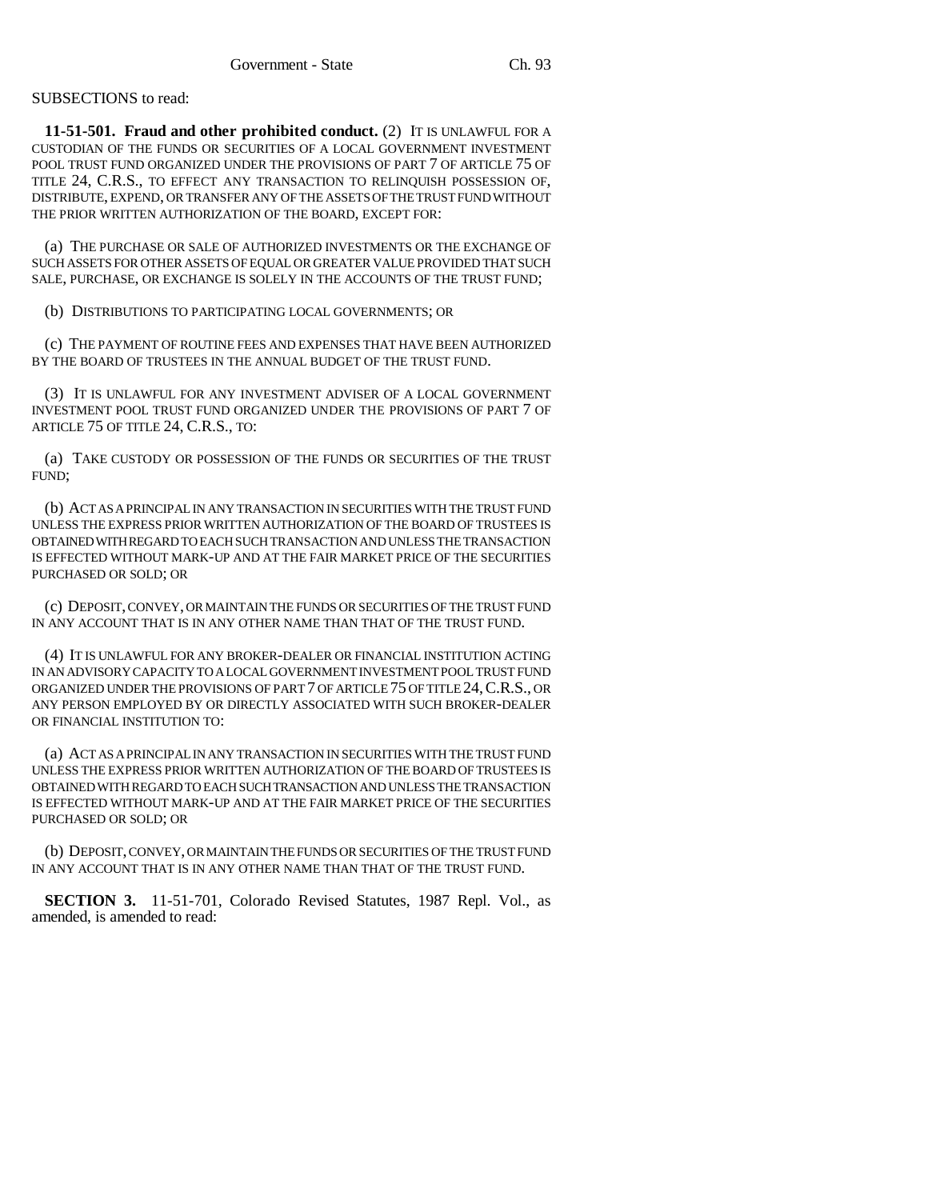## SUBSECTIONS to read:

**11-51-501. Fraud and other prohibited conduct.** (2) IT IS UNLAWFUL FOR A CUSTODIAN OF THE FUNDS OR SECURITIES OF A LOCAL GOVERNMENT INVESTMENT POOL TRUST FUND ORGANIZED UNDER THE PROVISIONS OF PART 7 OF ARTICLE 75 OF TITLE 24, C.R.S., TO EFFECT ANY TRANSACTION TO RELINQUISH POSSESSION OF, DISTRIBUTE, EXPEND, OR TRANSFER ANY OF THE ASSETS OF THE TRUST FUND WITHOUT THE PRIOR WRITTEN AUTHORIZATION OF THE BOARD, EXCEPT FOR:

(a) THE PURCHASE OR SALE OF AUTHORIZED INVESTMENTS OR THE EXCHANGE OF SUCH ASSETS FOR OTHER ASSETS OF EQUAL OR GREATER VALUE PROVIDED THAT SUCH SALE, PURCHASE, OR EXCHANGE IS SOLELY IN THE ACCOUNTS OF THE TRUST FUND;

(b) DISTRIBUTIONS TO PARTICIPATING LOCAL GOVERNMENTS; OR

(c) THE PAYMENT OF ROUTINE FEES AND EXPENSES THAT HAVE BEEN AUTHORIZED BY THE BOARD OF TRUSTEES IN THE ANNUAL BUDGET OF THE TRUST FUND.

(3) IT IS UNLAWFUL FOR ANY INVESTMENT ADVISER OF A LOCAL GOVERNMENT INVESTMENT POOL TRUST FUND ORGANIZED UNDER THE PROVISIONS OF PART 7 OF ARTICLE 75 OF TITLE 24, C.R.S., TO:

(a) TAKE CUSTODY OR POSSESSION OF THE FUNDS OR SECURITIES OF THE TRUST FUND;

(b) ACT AS A PRINCIPAL IN ANY TRANSACTION IN SECURITIES WITH THE TRUST FUND UNLESS THE EXPRESS PRIOR WRITTEN AUTHORIZATION OF THE BOARD OF TRUSTEES IS OBTAINED WITH REGARD TO EACH SUCH TRANSACTION AND UNLESS THE TRANSACTION IS EFFECTED WITHOUT MARK-UP AND AT THE FAIR MARKET PRICE OF THE SECURITIES PURCHASED OR SOLD; OR

(c) DEPOSIT, CONVEY, OR MAINTAIN THE FUNDS OR SECURITIES OF THE TRUST FUND IN ANY ACCOUNT THAT IS IN ANY OTHER NAME THAN THAT OF THE TRUST FUND.

(4) IT IS UNLAWFUL FOR ANY BROKER-DEALER OR FINANCIAL INSTITUTION ACTING IN AN ADVISORY CAPACITY TO A LOCAL GOVERNMENT INVESTMENT POOL TRUST FUND ORGANIZED UNDER THE PROVISIONS OF PART 7 OF ARTICLE 75 OF TITLE 24,C.R.S., OR ANY PERSON EMPLOYED BY OR DIRECTLY ASSOCIATED WITH SUCH BROKER-DEALER OR FINANCIAL INSTITUTION TO:

(a) ACT AS A PRINCIPAL IN ANY TRANSACTION IN SECURITIES WITH THE TRUST FUND UNLESS THE EXPRESS PRIOR WRITTEN AUTHORIZATION OF THE BOARD OF TRUSTEES IS OBTAINED WITH REGARD TO EACH SUCH TRANSACTION AND UNLESS THE TRANSACTION IS EFFECTED WITHOUT MARK-UP AND AT THE FAIR MARKET PRICE OF THE SECURITIES PURCHASED OR SOLD; OR

(b) DEPOSIT, CONVEY, OR MAINTAIN THE FUNDS OR SECURITIES OF THE TRUST FUND IN ANY ACCOUNT THAT IS IN ANY OTHER NAME THAN THAT OF THE TRUST FUND.

**SECTION 3.** 11-51-701, Colorado Revised Statutes, 1987 Repl. Vol., as amended, is amended to read: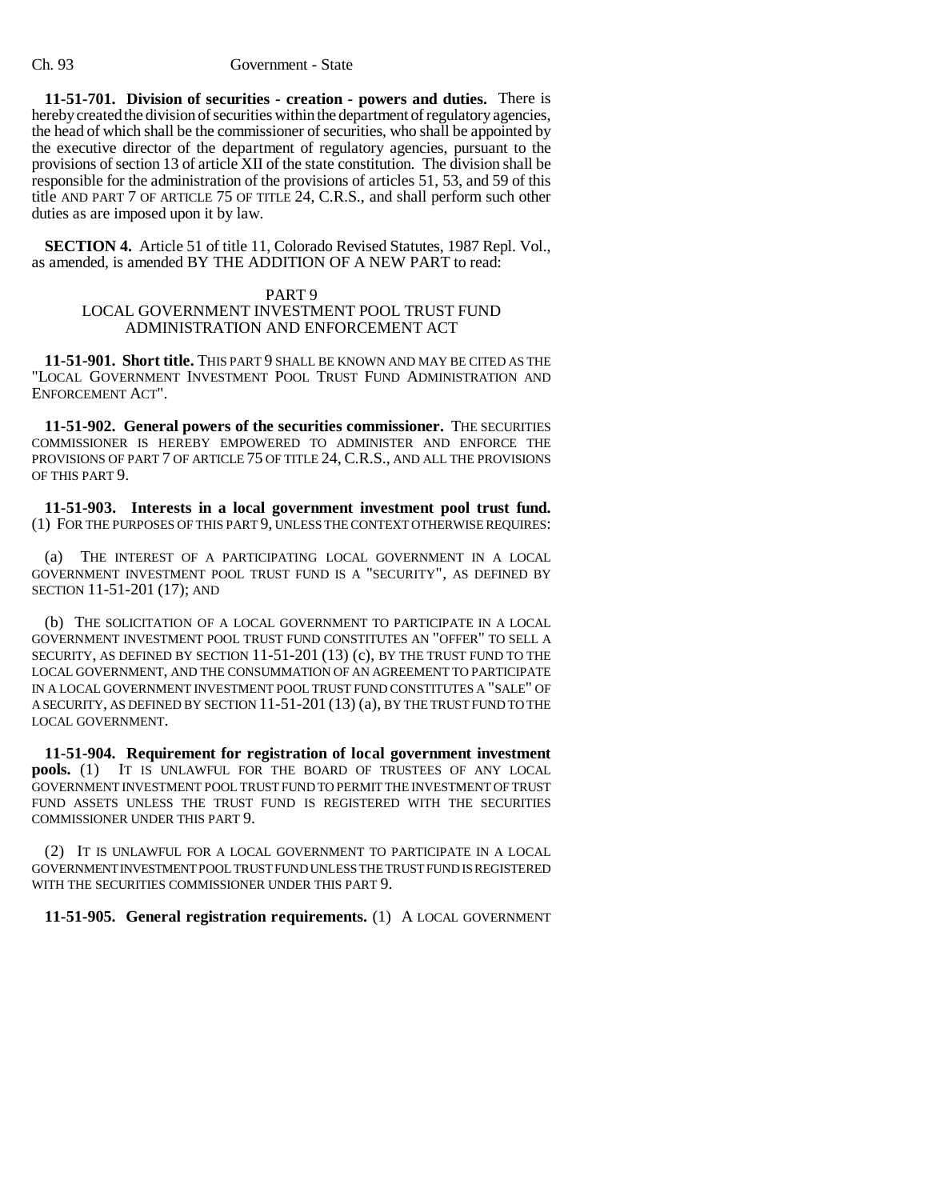**11-51-701. Division of securities - creation - powers and duties.** There is hereby created the division of securities within the department of regulatory agencies, the head of which shall be the commissioner of securities, who shall be appointed by the executive director of the department of regulatory agencies, pursuant to the provisions of section 13 of article XII of the state constitution. The division shall be responsible for the administration of the provisions of articles 51, 53, and 59 of this title AND PART 7 OF ARTICLE 75 OF TITLE 24, C.R.S., and shall perform such other duties as are imposed upon it by law.

**SECTION 4.** Article 51 of title 11, Colorado Revised Statutes, 1987 Repl. Vol., as amended, is amended BY THE ADDITION OF A NEW PART to read:

#### PART 9

## LOCAL GOVERNMENT INVESTMENT POOL TRUST FUND ADMINISTRATION AND ENFORCEMENT ACT

**11-51-901. Short title.** THIS PART 9 SHALL BE KNOWN AND MAY BE CITED AS THE "LOCAL GOVERNMENT INVESTMENT POOL TRUST FUND ADMINISTRATION AND ENFORCEMENT ACT".

**11-51-902. General powers of the securities commissioner.** THE SECURITIES COMMISSIONER IS HEREBY EMPOWERED TO ADMINISTER AND ENFORCE THE PROVISIONS OF PART 7 OF ARTICLE 75 OF TITLE 24, C.R.S., AND ALL THE PROVISIONS OF THIS PART 9.

**11-51-903. Interests in a local government investment pool trust fund.** (1) FOR THE PURPOSES OF THIS PART 9, UNLESS THE CONTEXT OTHERWISE REQUIRES:

(a) THE INTEREST OF A PARTICIPATING LOCAL GOVERNMENT IN A LOCAL GOVERNMENT INVESTMENT POOL TRUST FUND IS A "SECURITY", AS DEFINED BY SECTION 11-51-201 (17); AND

(b) THE SOLICITATION OF A LOCAL GOVERNMENT TO PARTICIPATE IN A LOCAL GOVERNMENT INVESTMENT POOL TRUST FUND CONSTITUTES AN "OFFER" TO SELL A SECURITY, AS DEFINED BY SECTION 11-51-201 (13) (c), BY THE TRUST FUND TO THE LOCAL GOVERNMENT, AND THE CONSUMMATION OF AN AGREEMENT TO PARTICIPATE IN A LOCAL GOVERNMENT INVESTMENT POOL TRUST FUND CONSTITUTES A "SALE" OF A SECURITY, AS DEFINED BY SECTION 11-51-201 (13) (a), BY THE TRUST FUND TO THE LOCAL GOVERNMENT.

**11-51-904. Requirement for registration of local government investment pools.** (1) IT IS UNLAWFUL FOR THE BOARD OF TRUSTEES OF ANY LOCAL GOVERNMENT INVESTMENT POOL TRUST FUND TO PERMIT THE INVESTMENT OF TRUST FUND ASSETS UNLESS THE TRUST FUND IS REGISTERED WITH THE SECURITIES COMMISSIONER UNDER THIS PART 9.

(2) IT IS UNLAWFUL FOR A LOCAL GOVERNMENT TO PARTICIPATE IN A LOCAL GOVERNMENT INVESTMENT POOL TRUST FUND UNLESS THE TRUST FUND IS REGISTERED WITH THE SECURITIES COMMISSIONER UNDER THIS PART 9.

**11-51-905. General registration requirements.** (1) A LOCAL GOVERNMENT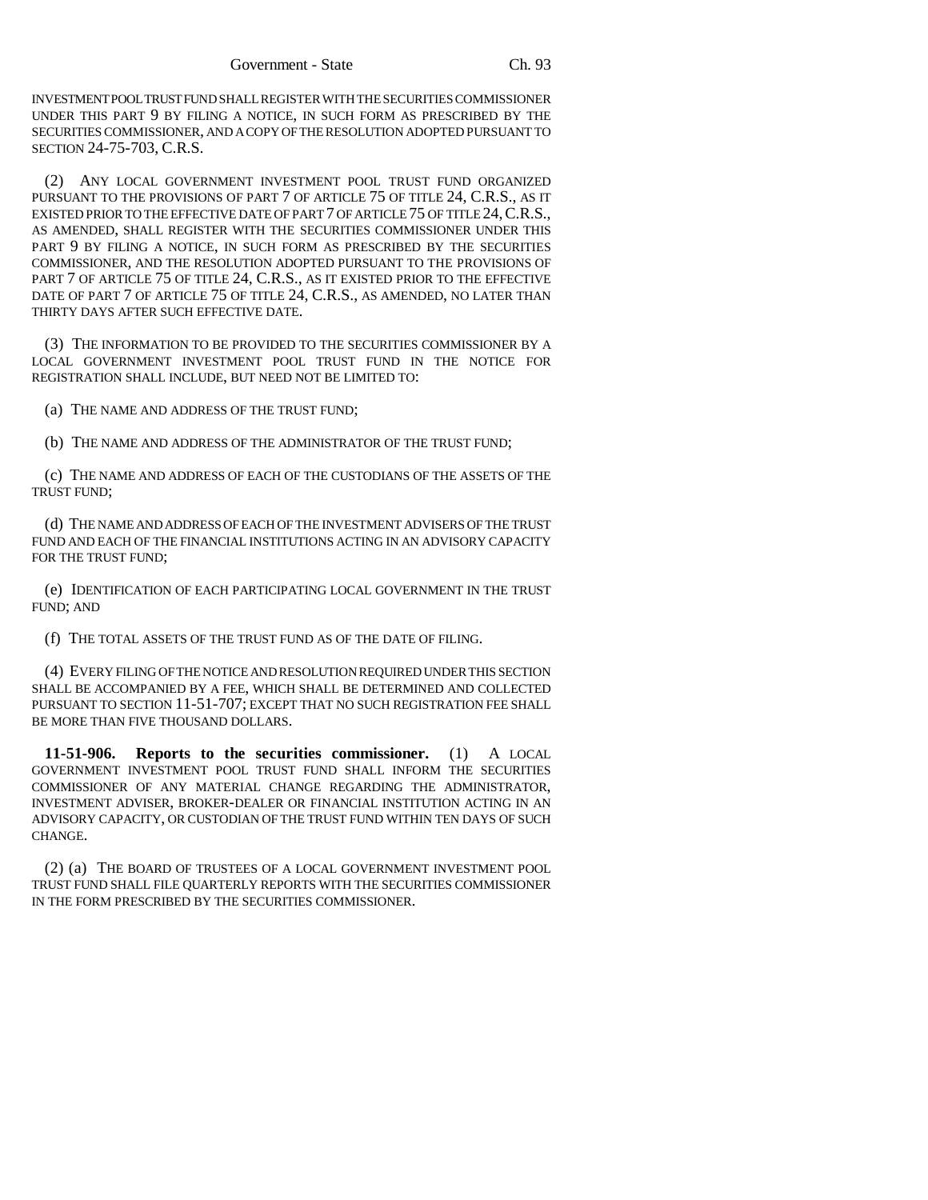INVESTMENT POOL TRUST FUND SHALL REGISTER WITH THE SECURITIES COMMISSIONER UNDER THIS PART 9 BY FILING A NOTICE, IN SUCH FORM AS PRESCRIBED BY THE SECURITIES COMMISSIONER, AND A COPY OF THE RESOLUTION ADOPTED PURSUANT TO SECTION 24-75-703, C.R.S.

(2) ANY LOCAL GOVERNMENT INVESTMENT POOL TRUST FUND ORGANIZED PURSUANT TO THE PROVISIONS OF PART 7 OF ARTICLE 75 OF TITLE 24, C.R.S., AS IT EXISTED PRIOR TO THE EFFECTIVE DATE OF PART 7 OF ARTICLE 75 OF TITLE 24, C.R.S., AS AMENDED, SHALL REGISTER WITH THE SECURITIES COMMISSIONER UNDER THIS PART 9 BY FILING A NOTICE, IN SUCH FORM AS PRESCRIBED BY THE SECURITIES COMMISSIONER, AND THE RESOLUTION ADOPTED PURSUANT TO THE PROVISIONS OF PART 7 OF ARTICLE 75 OF TITLE 24, C.R.S., AS IT EXISTED PRIOR TO THE EFFECTIVE DATE OF PART 7 OF ARTICLE 75 OF TITLE 24, C.R.S., AS AMENDED, NO LATER THAN THIRTY DAYS AFTER SUCH EFFECTIVE DATE.

(3) THE INFORMATION TO BE PROVIDED TO THE SECURITIES COMMISSIONER BY A LOCAL GOVERNMENT INVESTMENT POOL TRUST FUND IN THE NOTICE FOR REGISTRATION SHALL INCLUDE, BUT NEED NOT BE LIMITED TO:

(a) THE NAME AND ADDRESS OF THE TRUST FUND;

(b) THE NAME AND ADDRESS OF THE ADMINISTRATOR OF THE TRUST FUND;

(c) THE NAME AND ADDRESS OF EACH OF THE CUSTODIANS OF THE ASSETS OF THE TRUST FUND;

(d) THE NAME AND ADDRESS OF EACH OF THE INVESTMENT ADVISERS OF THE TRUST FUND AND EACH OF THE FINANCIAL INSTITUTIONS ACTING IN AN ADVISORY CAPACITY FOR THE TRUST FUND;

(e) IDENTIFICATION OF EACH PARTICIPATING LOCAL GOVERNMENT IN THE TRUST FUND; AND

(f) THE TOTAL ASSETS OF THE TRUST FUND AS OF THE DATE OF FILING.

(4) EVERY FILING OF THE NOTICE AND RESOLUTION REQUIRED UNDER THIS SECTION SHALL BE ACCOMPANIED BY A FEE, WHICH SHALL BE DETERMINED AND COLLECTED PURSUANT TO SECTION 11-51-707; EXCEPT THAT NO SUCH REGISTRATION FEE SHALL BE MORE THAN FIVE THOUSAND DOLLARS.

**11-51-906. Reports to the securities commissioner.** (1) A LOCAL GOVERNMENT INVESTMENT POOL TRUST FUND SHALL INFORM THE SECURITIES COMMISSIONER OF ANY MATERIAL CHANGE REGARDING THE ADMINISTRATOR, INVESTMENT ADVISER, BROKER-DEALER OR FINANCIAL INSTITUTION ACTING IN AN ADVISORY CAPACITY, OR CUSTODIAN OF THE TRUST FUND WITHIN TEN DAYS OF SUCH CHANGE.

(2) (a) THE BOARD OF TRUSTEES OF A LOCAL GOVERNMENT INVESTMENT POOL TRUST FUND SHALL FILE QUARTERLY REPORTS WITH THE SECURITIES COMMISSIONER IN THE FORM PRESCRIBED BY THE SECURITIES COMMISSIONER.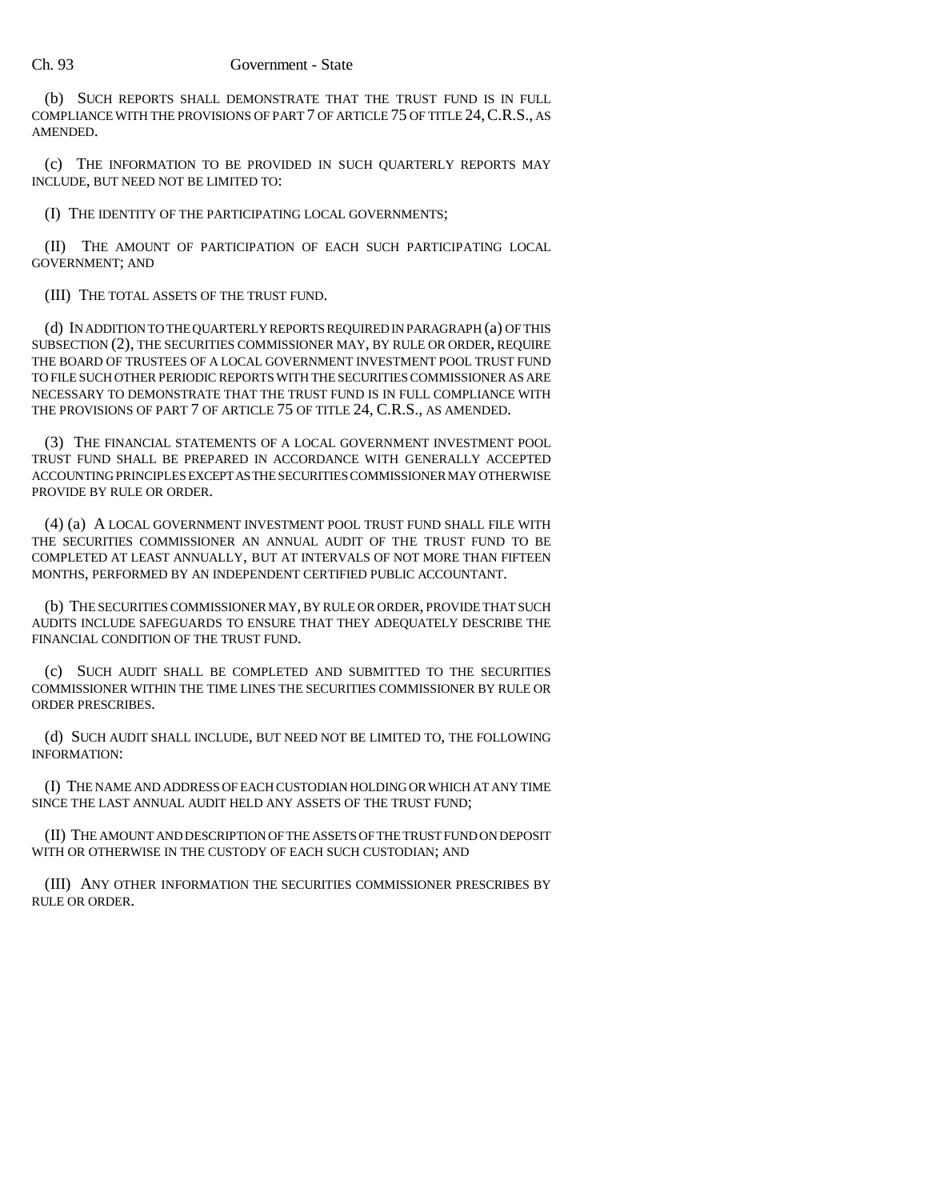(b) SUCH REPORTS SHALL DEMONSTRATE THAT THE TRUST FUND IS IN FULL COMPLIANCE WITH THE PROVISIONS OF PART 7 OF ARTICLE 75 OF TITLE 24,C.R.S., AS AMENDED.

(c) THE INFORMATION TO BE PROVIDED IN SUCH QUARTERLY REPORTS MAY INCLUDE, BUT NEED NOT BE LIMITED TO:

(I) THE IDENTITY OF THE PARTICIPATING LOCAL GOVERNMENTS;

(II) THE AMOUNT OF PARTICIPATION OF EACH SUCH PARTICIPATING LOCAL GOVERNMENT; AND

(III) THE TOTAL ASSETS OF THE TRUST FUND.

(d) IN ADDITION TO THE QUARTERLY REPORTS REQUIRED IN PARAGRAPH (a) OF THIS SUBSECTION (2), THE SECURITIES COMMISSIONER MAY, BY RULE OR ORDER, REQUIRE THE BOARD OF TRUSTEES OF A LOCAL GOVERNMENT INVESTMENT POOL TRUST FUND TO FILE SUCH OTHER PERIODIC REPORTS WITH THE SECURITIES COMMISSIONER AS ARE NECESSARY TO DEMONSTRATE THAT THE TRUST FUND IS IN FULL COMPLIANCE WITH THE PROVISIONS OF PART 7 OF ARTICLE 75 OF TITLE 24, C.R.S., AS AMENDED.

(3) THE FINANCIAL STATEMENTS OF A LOCAL GOVERNMENT INVESTMENT POOL TRUST FUND SHALL BE PREPARED IN ACCORDANCE WITH GENERALLY ACCEPTED ACCOUNTING PRINCIPLES EXCEPT AS THE SECURITIES COMMISSIONER MAY OTHERWISE PROVIDE BY RULE OR ORDER.

(4) (a) A LOCAL GOVERNMENT INVESTMENT POOL TRUST FUND SHALL FILE WITH THE SECURITIES COMMISSIONER AN ANNUAL AUDIT OF THE TRUST FUND TO BE COMPLETED AT LEAST ANNUALLY, BUT AT INTERVALS OF NOT MORE THAN FIFTEEN MONTHS, PERFORMED BY AN INDEPENDENT CERTIFIED PUBLIC ACCOUNTANT.

(b) THE SECURITIES COMMISSIONER MAY, BY RULE OR ORDER, PROVIDE THAT SUCH AUDITS INCLUDE SAFEGUARDS TO ENSURE THAT THEY ADEQUATELY DESCRIBE THE FINANCIAL CONDITION OF THE TRUST FUND.

(c) SUCH AUDIT SHALL BE COMPLETED AND SUBMITTED TO THE SECURITIES COMMISSIONER WITHIN THE TIME LINES THE SECURITIES COMMISSIONER BY RULE OR ORDER PRESCRIBES.

(d) SUCH AUDIT SHALL INCLUDE, BUT NEED NOT BE LIMITED TO, THE FOLLOWING INFORMATION:

(I) THE NAME AND ADDRESS OF EACH CUSTODIAN HOLDING OR WHICH AT ANY TIME SINCE THE LAST ANNUAL AUDIT HELD ANY ASSETS OF THE TRUST FUND;

(II) THE AMOUNT AND DESCRIPTION OF THE ASSETS OF THE TRUST FUND ON DEPOSIT WITH OR OTHERWISE IN THE CUSTODY OF EACH SUCH CUSTODIAN; AND

(III) ANY OTHER INFORMATION THE SECURITIES COMMISSIONER PRESCRIBES BY RULE OR ORDER.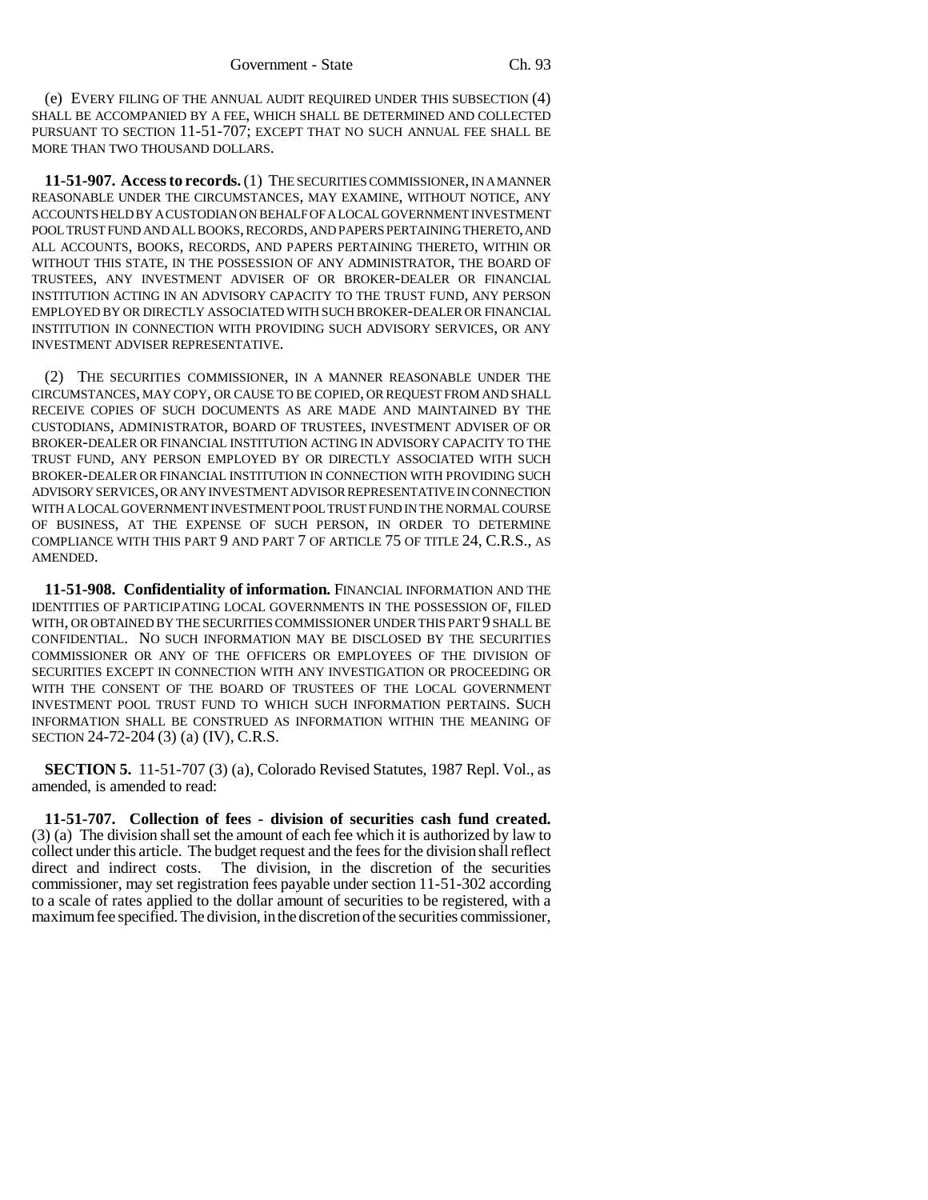(e) EVERY FILING OF THE ANNUAL AUDIT REQUIRED UNDER THIS SUBSECTION (4) SHALL BE ACCOMPANIED BY A FEE, WHICH SHALL BE DETERMINED AND COLLECTED PURSUANT TO SECTION 11-51-707; EXCEPT THAT NO SUCH ANNUAL FEE SHALL BE MORE THAN TWO THOUSAND DOLLARS.

**11-51-907. Access to records.** (1) THE SECURITIES COMMISSIONER, IN A MANNER REASONABLE UNDER THE CIRCUMSTANCES, MAY EXAMINE, WITHOUT NOTICE, ANY ACCOUNTS HELD BY A CUSTODIAN ON BEHALF OF A LOCAL GOVERNMENT INVESTMENT POOL TRUST FUND AND ALL BOOKS, RECORDS, AND PAPERS PERTAINING THERETO, AND ALL ACCOUNTS, BOOKS, RECORDS, AND PAPERS PERTAINING THERETO, WITHIN OR WITHOUT THIS STATE, IN THE POSSESSION OF ANY ADMINISTRATOR, THE BOARD OF TRUSTEES, ANY INVESTMENT ADVISER OF OR BROKER-DEALER OR FINANCIAL INSTITUTION ACTING IN AN ADVISORY CAPACITY TO THE TRUST FUND, ANY PERSON EMPLOYED BY OR DIRECTLY ASSOCIATED WITH SUCH BROKER-DEALER OR FINANCIAL INSTITUTION IN CONNECTION WITH PROVIDING SUCH ADVISORY SERVICES, OR ANY INVESTMENT ADVISER REPRESENTATIVE.

(2) THE SECURITIES COMMISSIONER, IN A MANNER REASONABLE UNDER THE CIRCUMSTANCES, MAY COPY, OR CAUSE TO BE COPIED, OR REQUEST FROM AND SHALL RECEIVE COPIES OF SUCH DOCUMENTS AS ARE MADE AND MAINTAINED BY THE CUSTODIANS, ADMINISTRATOR, BOARD OF TRUSTEES, INVESTMENT ADVISER OF OR BROKER-DEALER OR FINANCIAL INSTITUTION ACTING IN ADVISORY CAPACITY TO THE TRUST FUND, ANY PERSON EMPLOYED BY OR DIRECTLY ASSOCIATED WITH SUCH BROKER-DEALER OR FINANCIAL INSTITUTION IN CONNECTION WITH PROVIDING SUCH ADVISORY SERVICES, OR ANY INVESTMENT ADVISOR REPRESENTATIVE IN CONNECTION WITH A LOCAL GOVERNMENT INVESTMENT POOL TRUST FUND IN THE NORMAL COURSE OF BUSINESS, AT THE EXPENSE OF SUCH PERSON, IN ORDER TO DETERMINE COMPLIANCE WITH THIS PART 9 AND PART 7 OF ARTICLE 75 OF TITLE 24, C.R.S., AS AMENDED.

**11-51-908. Confidentiality of information.** FINANCIAL INFORMATION AND THE IDENTITIES OF PARTICIPATING LOCAL GOVERNMENTS IN THE POSSESSION OF, FILED WITH, OR OBTAINED BY THE SECURITIES COMMISSIONER UNDER THIS PART 9 SHALL BE CONFIDENTIAL. NO SUCH INFORMATION MAY BE DISCLOSED BY THE SECURITIES COMMISSIONER OR ANY OF THE OFFICERS OR EMPLOYEES OF THE DIVISION OF SECURITIES EXCEPT IN CONNECTION WITH ANY INVESTIGATION OR PROCEEDING OR WITH THE CONSENT OF THE BOARD OF TRUSTEES OF THE LOCAL GOVERNMENT INVESTMENT POOL TRUST FUND TO WHICH SUCH INFORMATION PERTAINS. SUCH INFORMATION SHALL BE CONSTRUED AS INFORMATION WITHIN THE MEANING OF SECTION 24-72-204 (3) (a) (IV), C.R.S.

**SECTION 5.** 11-51-707 (3) (a), Colorado Revised Statutes, 1987 Repl. Vol., as amended, is amended to read:

**11-51-707. Collection of fees - division of securities cash fund created.** (3) (a) The division shall set the amount of each fee which it is authorized by law to collect under this article. The budget request and the fees for the division shall reflect The division, in the discretion of the securities. commissioner, may set registration fees payable under section 11-51-302 according to a scale of rates applied to the dollar amount of securities to be registered, with a maximum fee specified. The division, in the discretion of the securities commissioner,